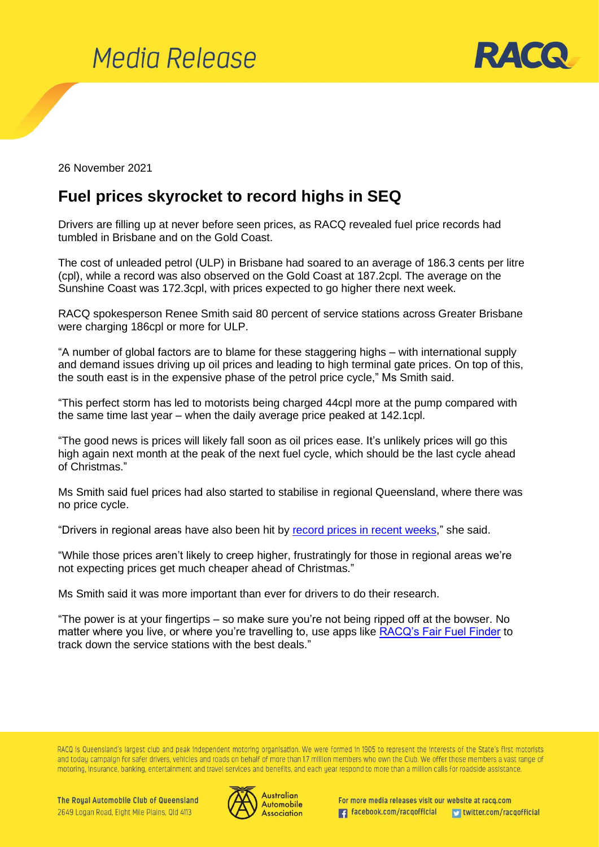



26 November 2021

## **Fuel prices skyrocket to record highs in SEQ**

Drivers are filling up at never before seen prices, as RACQ revealed fuel price records had tumbled in Brisbane and on the Gold Coast.

The cost of unleaded petrol (ULP) in Brisbane had soared to an average of 186.3 cents per litre (cpl), while a record was also observed on the Gold Coast at 187.2cpl. The average on the Sunshine Coast was 172.3cpl, with prices expected to go higher there next week.

RACQ spokesperson Renee Smith said 80 percent of service stations across Greater Brisbane were charging 186cpl or more for ULP.

"A number of global factors are to blame for these staggering highs – with international supply and demand issues driving up oil prices and leading to high terminal gate prices. On top of this, the south east is in the expensive phase of the petrol price cycle," Ms Smith said.

"This perfect storm has led to motorists being charged 44cpl more at the pump compared with the same time last year – when the daily average price peaked at 142.1cpl.

"The good news is prices will likely fall soon as oil prices ease. It's unlikely prices will go this high again next month at the peak of the next fuel cycle, which should be the last cycle ahead of Christmas."

Ms Smith said fuel prices had also started to stabilise in regional Queensland, where there was no price cycle.

"Drivers in regional areas have also been hit by record [prices in recent weeks,](https://www.racq.com.au/Live/Articles/051121-Eight-year-fuel-records-tumble-in-parts-of-regional-Qld)" she said.

"While those prices aren't likely to creep higher, frustratingly for those in regional areas we're not expecting prices get much cheaper ahead of Christmas."

Ms Smith said it was more important than ever for drivers to do their research.

"The power is at your fingertips – so make sure you're not being ripped off at the bowser. No matter where you live, or where you're travelling to, use apps like [RACQ's Fair Fuel Finder](https://www.racq.com.au/cars-and-driving/driving/fair-fuel-prices) to track down the service stations with the best deals."

RACQ is Queensland's largest club and peak independent motoring organisation. We were formed in 1905 to represent the interests of the State's first motorists and today campaign for safer drivers, vehicles and roads on behalf of more than 1.7 million members who own the Club. We offer those members a vast range of motoring, insurance, banking, entertainment and travel services and benefits, and each year respond to more than a million calls for roadside assistance.